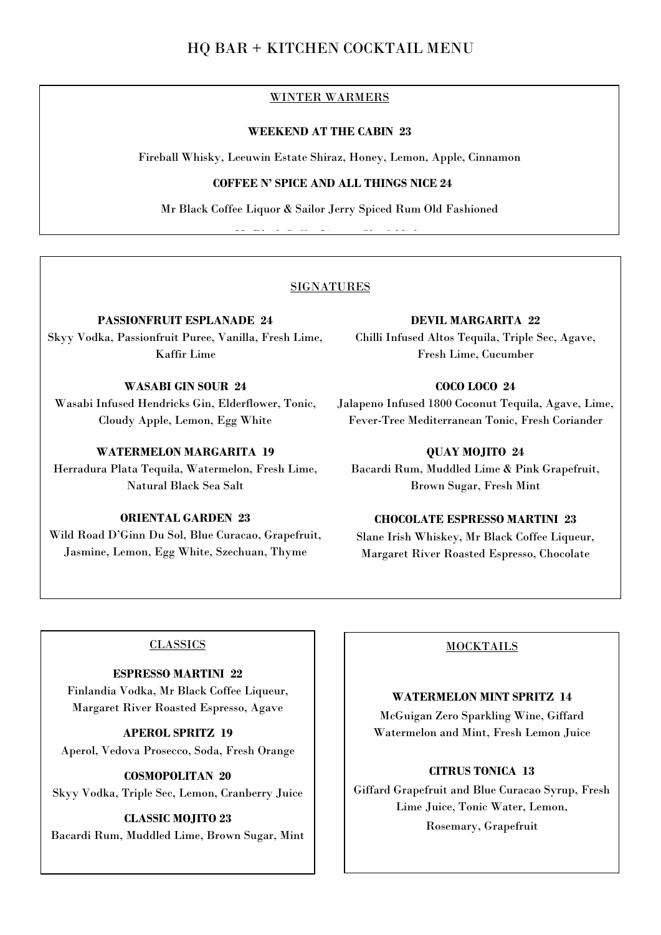## HQ BAR + KITCHEN COCKTAIL MENU

## WINTER WARMERS

#### **WEEKEND AT THE CABIN 23**

Fireball Whisky, Leeuwin Estate Shiraz, Honey, Lemon, Apple, Cinnamon

## **COFFEE N' SPICE AND ALL THINGS NICE 24**

Mr Black Coffee Liquor & Sailor Jerry Spiced Rum Old Fashioned

me Black Coffee Liquor, Glenfiddich, Glenfiddich, Glenfiddich, Glenfiddich, Glenfiddich, Glenfiddich, Glenfiddi<br>Glenfiddich, Glenfiddich, Glenfiddich, Glenfiddich, Glenfiddich, Glenfiddich, Glenfiddich, Glenfiddich, Glenfi

#### SIGNATURES

**PASSIONFRUIT ESPLANADE 24**

Skyy Vodka, Passionfruit Puree, Vanilla, Fresh Lime, Kaffir Lime

## **WASABI GIN SOUR 24**

Wasabi Infused Hendricks Gin, Elderflower, Tonic, Cloudy Apple, Lemon, Egg White

#### **WATERMELON MARGARITA 19**

Herradura Plata Tequila, Watermelon, Fresh Lime, Natural Black Sea Salt

## **ORIENTAL GARDEN 23**

Wild Road D'Ginn Du Sol, Blue Curacao, Grapefruit, Jasmine, Lemon, Egg White, Szechuan, Thyme

#### **DEVIL MARGARITA 22**

Chilli Infused Altos Tequila, Triple Sec, Agave, Fresh Lime, Cucumber

## **COCO LOCO 24**

Jalapeno Infused 1800 Coconut Tequila, Agave, Lime, Fever-Tree Mediterranean Tonic, Fresh Coriander

#### **QUAY MOJITO 24**

Bacardi Rum, Muddled Lime & Pink Grapefruit, Brown Sugar, Fresh Mint

## **CHOCOLATE ESPRESSO MARTINI 23**

Slane Irish Whiskey, Mr Black Coffee Liqueur, Margaret River Roasted Espresso, Chocolate

#### **CLASSICS**

## **ESPRESSO MARTINI 22**

Finlandia Vodka, Mr Black Coffee Liqueur, Margaret River Roasted Espresso, Agave

**APEROL SPRITZ 19** Aperol, Vedova Prosecco, Soda, Fresh Orange

**COSMOPOLITAN 20** Skyy Vodka, Triple Sec, Lemon, Cranberry Juice

### **CLASSIC MOJITO 23** Bacardi Rum, Muddled Lime, Brown Sugar, Mint

### **MOCKTAILS**

#### **WATERMELON MINT SPRITZ 14**

McGuigan Zero Sparkling Wine, Giffard Watermelon and Mint, Fresh Lemon Juice

## **CITRUS TONICA 13**

Giffard Grapefruit and Blue Curacao Syrup, Fresh Lime Juice, Tonic Water, Lemon, Rosemary, Grapefruit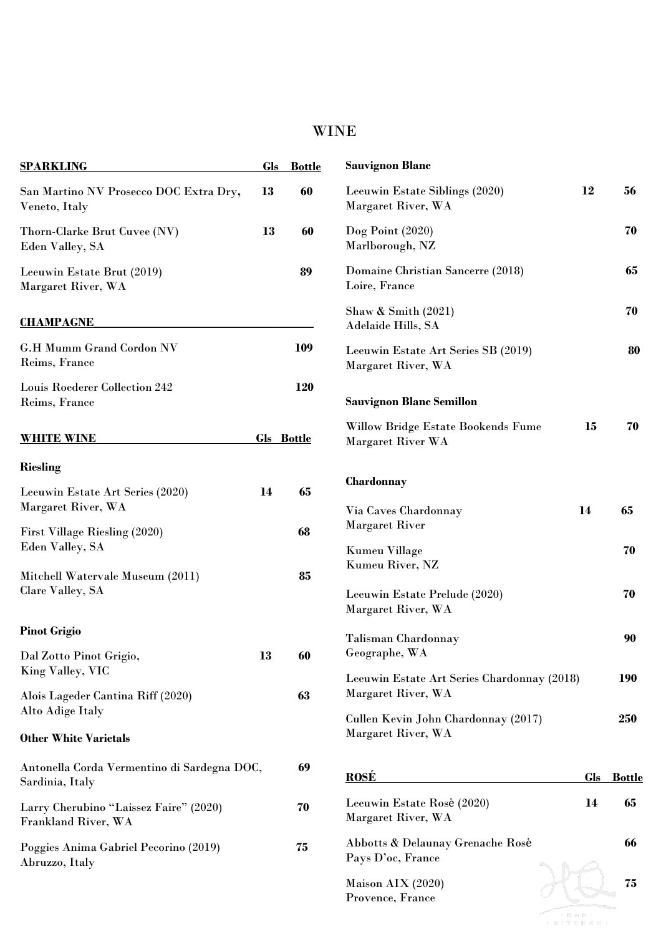# WINE

| <b>SPARKLING</b>                                               | <b>Gls</b> | <b>Bottle</b>     | <b>Sauvignon Blanc</b>                                    |     |               |
|----------------------------------------------------------------|------------|-------------------|-----------------------------------------------------------|-----|---------------|
| San Martino NV Prosecco DOC Extra Dry,<br>Veneto, Italy        | 13         | 60                | Leeuwin Estate Siblings (2020)<br>Margaret River, WA      | 12  | 56            |
| Thorn-Clarke Brut Cuvee (NV)<br>Eden Valley, SA                | 13         | 60                | $\text{Dog Point} (2020)$<br>Marlborough, NZ              |     | 70            |
| Leeuwin Estate Brut (2019)<br>Margaret River, WA               |            | 89                | Domaine Christian Sancerre (2018)<br>Loire, France        |     | 65            |
| <b>CHAMPAGNE</b>                                               |            |                   | Shaw & Smith $(2021)$<br>Adelaide Hills, SA               |     | 70            |
| <b>G.H Mumm Grand Cordon NV</b><br>Reims, France               |            | 109               | Leeuwin Estate Art Series SB (2019)<br>Margaret River, WA |     | 80            |
| Louis Roederer Collection 242<br>Reims, France                 |            | 120               | <b>Sauvignon Blanc Semillon</b>                           |     |               |
| <b>WHITE WINE</b>                                              |            | <b>Gls</b> Bottle | Willow Bridge Estate Bookends Fume<br>Margaret River WA   | 15  | 70            |
| <b>Riesling</b>                                                |            |                   |                                                           |     |               |
| Leeuwin Estate Art Series (2020)                               | 14         | 65                | Chardonnay                                                |     |               |
| Margaret River, WA                                             |            |                   | 14<br>Via Caves Chardonnay                                |     | 65            |
| First Village Riesling (2020)                                  |            | 68                | <b>Margaret River</b>                                     |     |               |
| Eden Valley, SA                                                |            |                   | <b>Kumeu Village</b>                                      |     | 70            |
| Mitchell Watervale Museum (2011)                               |            | 85                | Kumeu River, NZ                                           |     |               |
| Clare Valley, SA                                               |            |                   | Leeuwin Estate Prelude (2020)<br>Margaret River, WA       |     | 70            |
| <b>Pinot Grigio</b>                                            |            |                   | Talisman Chardonnay                                       |     | 90            |
| Dal Zotto Pinot Grigio,                                        | 13         | 60                | Geographe, WA                                             |     |               |
| King Valley, VIC                                               |            |                   | Leeuwin Estate Art Series Chardonnay (2018)               |     | <b>190</b>    |
| Alois Lageder Cantina Riff (2020)                              |            | 63                | Margaret River, WA                                        |     |               |
| Alto Adige Italy                                               |            |                   | Cullen Kevin John Chardonnay (2017)                       |     | 250           |
| <b>Other White Varietals</b>                                   |            |                   | Margaret River, WA                                        |     |               |
| Antonella Corda Vermentino di Sardegna DOC,<br>Sardinia, Italy |            | 69                | <b>ROSÉ</b>                                               | Gls | <u>Bottle</u> |
| Larry Cherubino "Laissez Faire" (2020)<br>Frankland River, WA  |            | 70                | Leeuwin Estate Rosé (2020)<br>Margaret River, WA          | 14  | 65            |
| Poggies Anima Gabriel Pecorino (2019)<br>Abruzzo, Italy        |            | 75                | Abbotts & Delaunay Grenache Rosé<br>Pays D'oc, France     |     | 66            |
|                                                                |            |                   | Maison AIX (2020)<br>Provence, France                     |     | 75            |
|                                                                |            |                   |                                                           |     |               |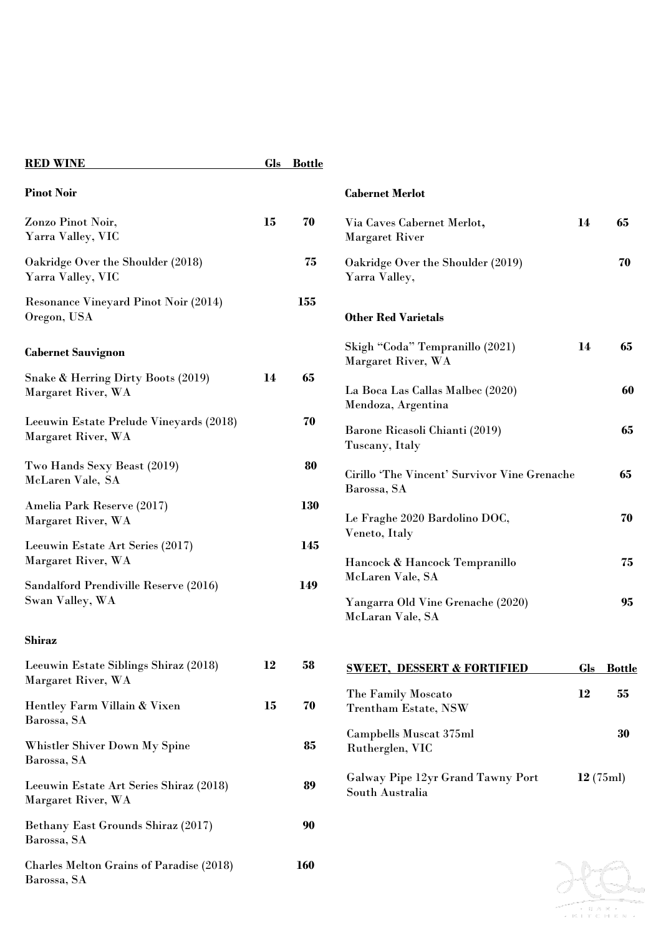| <b>RED WINE</b>                                               |    | Gls Bottle |                                                                           |     |               |
|---------------------------------------------------------------|----|------------|---------------------------------------------------------------------------|-----|---------------|
| <b>Pinot Noir</b>                                             |    |            | <b>Cabernet Merlot</b>                                                    |     |               |
| Zonzo Pinot Noir,<br>Yarra Valley, VIC                        | 15 | 70         | Via Caves Cabernet Merlot,<br><b>Margaret River</b>                       | 14  | 65            |
| Oakridge Over the Shoulder (2018)<br>Yarra Valley, VIC        |    | 75         | Oakridge Over the Shoulder (2019)<br>Yarra Valley,                        |     | 70            |
| <b>Resonance Vineyard Pinot Noir (2014)</b><br>Oregon, USA    |    | 155        | <b>Other Red Varietals</b>                                                |     |               |
| <b>Cabernet Sauvignon</b>                                     |    |            | Skigh "Coda" Tempranillo (2021)<br>Margaret River, WA                     | 14  | 65            |
| Snake & Herring Dirty Boots (2019)<br>Margaret River, WA      | 14 | 65         | La Boca Las Callas Malbec (2020)<br>Mendoza, Argentina                    |     | 60            |
| Leeuwin Estate Prelude Vineyards (2018)<br>Margaret River, WA |    | 70         | Barone Ricasoli Chianti (2019)<br>Tuscany, Italy                          |     | 65            |
| Two Hands Sexy Beast (2019)<br>McLaren Vale, SA               |    | 80         | Cirillo 'The Vincent' Survivor Vine Grenache<br>Barossa, SA               |     | 65            |
| Amelia Park Reserve (2017)<br>Margaret River, WA              |    | 130        | Le Fraghe 2020 Bardolino DOC,                                             |     | 70            |
| Leeuwin Estate Art Series (2017)<br>Margaret River, WA        |    | 145        | Veneto, Italy<br>Hancock & Hancock Tempranillo                            |     | 75            |
| Sandalford Prendiville Reserve (2016)<br>Swan Valley, WA      |    | 149        | McLaren Vale, SA<br>Yangarra Old Vine Grenache (2020)<br>McLaran Vale, SA |     | 95            |
| <b>Shiraz</b>                                                 |    |            |                                                                           |     |               |
| Leeuwin Estate Siblings Shiraz (2018)<br>Margaret River, WA   | 12 | 58         | <b>SWEET, DESSERT &amp; FORTIFIED</b>                                     | Gls | <b>Bottle</b> |
| Hentley Farm Villain & Vixen<br>Barossa, SA                   | 15 | 70         | The Family Moscato<br><b>Trentham Estate, NSW</b>                         | 12  | 55            |
| Whistler Shiver Down My Spine<br>Barossa, SA                  |    | 85         | Campbells Muscat 375ml<br>Rutherglen, VIC                                 |     | 30            |
| Leeuwin Estate Art Series Shiraz (2018)<br>Margaret River, WA |    | 89         | Galway Pipe 12yr Grand Tawny Port<br>South Australia                      |     | 12(75ml)      |
| Bethany East Grounds Shiraz (2017)<br>Barossa, SA             |    | 90         |                                                                           |     |               |
| Charles Melton Grains of Paradise (2018)<br>Barossa, SA       |    | <b>160</b> |                                                                           |     |               |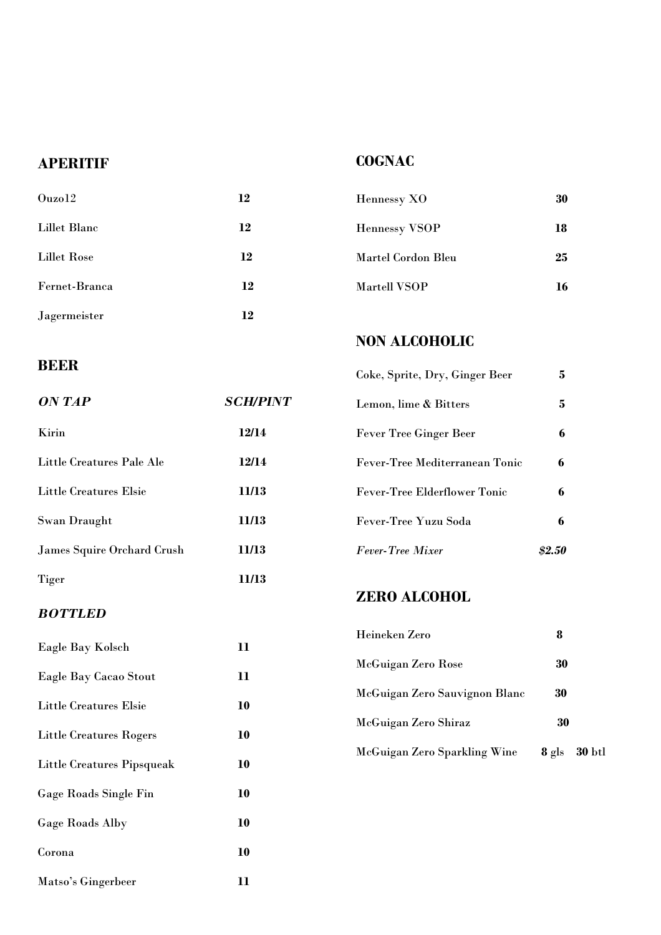# **APERITIF**

# **COGNAC**

| Ouzo12        | 12 | Hennessy XO          | 30 |
|---------------|----|----------------------|----|
| Lillet Blanc  | 12 | <b>Hennessy VSOP</b> | 18 |
| Lillet Rose   | 12 | Martel Cordon Bleu   | 25 |
| Fernet-Branca | 12 | <b>Martell VSOP</b>  | 16 |
| Jagermeister  | 12 |                      |    |

# **BEER**

**NON ALCOHOLIC**

Coke, Sprite, Dry, Ginger Beer **5**

| ON TAP                     | <b>SCH/PINT</b> | Lemon, lime & Bitters               | 5.     |
|----------------------------|-----------------|-------------------------------------|--------|
| Kirin                      | 12/14           | <b>Fever Tree Ginger Beer</b>       | 6      |
| Little Creatures Pale Ale  | 12/14           | Fever-Tree Mediterranean Tonic      | 6      |
| Little Creatures Elsie     | 11/13           | <b>Fever-Tree Elderflower Tonic</b> | 6      |
| Swan Draught               | 11/13           | Fever-Tree Yuzu Soda                | 6      |
| James Squire Orchard Crush | 11/13           | <b>Fever-Tree Mixer</b>             | \$2.50 |
| <b>Tiger</b>               | 11/13           |                                     |        |

## *BOTTLED*

| Eagle Bay Kolsch             | 11 |
|------------------------------|----|
| Eagle Bay Cacao Stout        | 11 |
| Little Creatures Elsie       | 10 |
| Little Creatures Rogers      | 10 |
| Little Creatures Pipsqueak   | 10 |
| <b>Gage Roads Single Fin</b> | 10 |
| Gage Roads Alby              | 10 |
| Corona                       | 10 |
| Matso's Gingerbeer           | 11 |

# **ZERO ALCOHOL**

| Heineken Zero                 |       |        |
|-------------------------------|-------|--------|
| McGuigan Zero Rose            | 30    |        |
| McGuigan Zero Sauvignon Blanc | 30    |        |
| McGuigan Zero Shiraz          | 30    |        |
| McGuigan Zero Sparkling Wine  | 8 gls | 30 btl |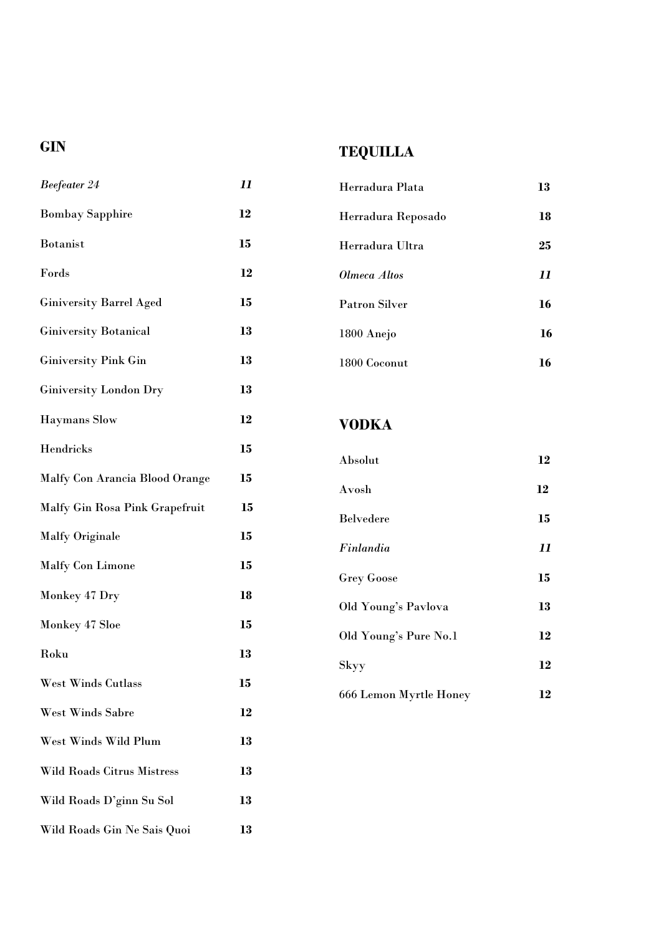# **GIN**

# **TEQUILLA**

| <b>Beefeater 24</b>            | 11 |
|--------------------------------|----|
| <b>Bombay Sapphire</b>         | 12 |
| <b>Botanist</b>                | 15 |
| Fords                          | 12 |
| <b>Giniversity Barrel Aged</b> | 15 |
| <b>Giniversity Botanical</b>   | 13 |
| <b>Giniversity Pink Gin</b>    | 13 |
| <b>Giniversity London Dry</b>  | 13 |
| <b>Haymans</b> Slow            | 12 |
| Hendricks                      | 15 |
| Malfy Con Arancia Blood Orange | 15 |
| Malfy Gin Rosa Pink Grapefruit | 15 |
| <b>Malfy Originale</b>         | 15 |
| <b>Malfy Con Limone</b>        | 15 |
| Monkey 47 Dry                  | 18 |
| Monkey 47 Sloe                 | 15 |
| Roku                           | 13 |
| <b>West Winds Cutlass</b>      | 15 |
| <b>West Winds Sabre</b>        | 12 |
| West Winds Wild Plum           | 13 |
| Wild Roads Citrus Mistress     | 13 |
| Wild Roads D'ginn Su Sol       | 13 |
| Wild Roads Gin Ne Sais Quoi    | 13 |

| Herradura Plata      | 13 |
|----------------------|----|
| Herradura Reposado   | 18 |
| Herradura Ultra      | 25 |
| Olmeca Altos         | 11 |
| <b>Patron Silver</b> | 16 |
| 1800 Anejo           | 16 |
| 1800 Coconut         |    |

# **VODKA**

| Absolut                | 12 |
|------------------------|----|
| Avosh                  | 12 |
| <b>Belvedere</b>       | 15 |
| Finlandia              | 11 |
| <b>Grey Goose</b>      | 15 |
| Old Young's Pavlova    | 13 |
| Old Young's Pure No.1  | 12 |
| Skyy                   | 12 |
| 666 Lemon Myrtle Honey | 12 |